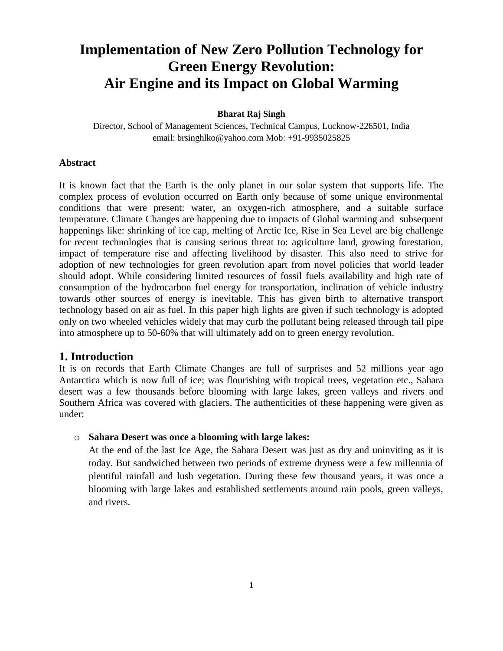# **Implementation of New Zero Pollution Technology for Green Energy Revolution: Air Engine and its Impact on Global Warming**

#### **Bharat Raj Singh**

Director, School of Management Sciences, Technical Campus, Lucknow-226501, India email: [brsinghlko@yahoo.com](mailto:brsinghlko@yahoo.com) Mob: +91-9935025825

#### **Abstract**

It is known fact that the Earth is the only planet in our solar system that supports life. The complex process of evolution occurred on Earth only because of some unique environmental conditions that were present: water, an oxygen-rich atmosphere, and a suitable surface temperature. Climate Changes are happening due to impacts of Global warming and subsequent happenings like: shrinking of ice cap, melting of Arctic Ice, Rise in Sea Level are big challenge for recent technologies that is causing serious threat to: agriculture land, growing forestation, impact of temperature rise and affecting livelihood by disaster. This also need to strive for adoption of new technologies for green revolution apart from novel policies that world leader should adopt. While considering limited resources of fossil fuels availability and high rate of consumption of the hydrocarbon fuel energy for transportation, inclination of vehicle industry towards other sources of energy is inevitable. This has given birth to alternative transport technology based on air as fuel. In this paper high lights are given if such technology is adopted only on two wheeled vehicles widely that may curb the pollutant being released through tail pipe into atmosphere up to 50-60% that will ultimately add on to green energy revolution.

# **1. Introduction**

It is on records that Earth Climate Changes are full of surprises and 52 millions year ago Antarctica which is now full of ice; was flourishing with tropical trees, vegetation etc., Sahara desert was a few thousands before blooming with large lakes, green valleys and rivers and Southern Africa was covered with glaciers. The authenticities of these happening were given as under:

#### o **Sahara Desert was once a blooming with large lakes:**

At the end of the last Ice Age, the Sahara Desert was just as dry and uninviting as it is today. But sandwiched between two periods of extreme dryness were a few millennia of plentiful rainfall and lush vegetation. During these few thousand years, it was once a blooming with large lakes and established settlements around rain pools, green valleys, and rivers.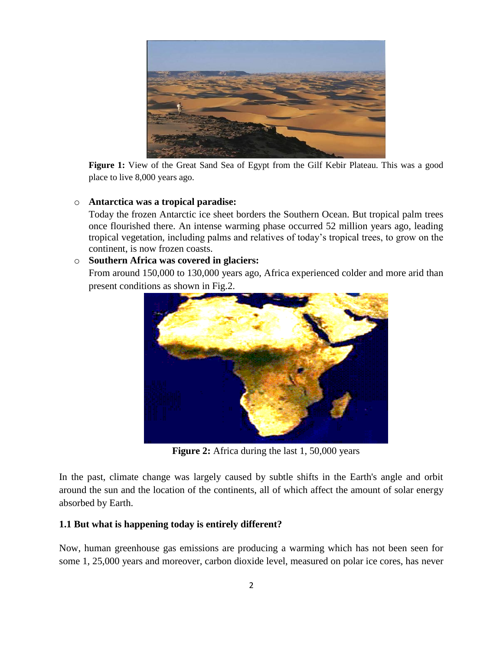

**Figure 1:** View of the Great Sand Sea of Egypt from the Gilf Kebir Plateau. This was a good place to live 8,000 years ago.

# o **Antarctica was a tropical paradise:**

Today the frozen Antarctic ice sheet borders the Southern Ocean. But tropical palm trees once flourished there. An intense warming phase occurred 52 million years ago, leading tropical vegetation, including palms and relatives of today's tropical trees, to grow on the continent, is now frozen coasts.

# o **Southern Africa was covered in glaciers:**

From around 150,000 to 130,000 years ago, Africa experienced colder and more arid than present conditions as shown in Fig.2.



**Figure 2:** Africa during the last 1, 50,000 years

In the past, climate change was largely caused by subtle shifts in the Earth's angle and orbit around the sun and the location of the continents, all of which affect the amount of solar energy absorbed by Earth.

# **1.1 But what is happening today is entirely different?**

Now, human greenhouse gas emissions are producing a warming which has not been seen for some 1, 25,000 years and moreover, carbon dioxide level, measured on polar ice cores, has never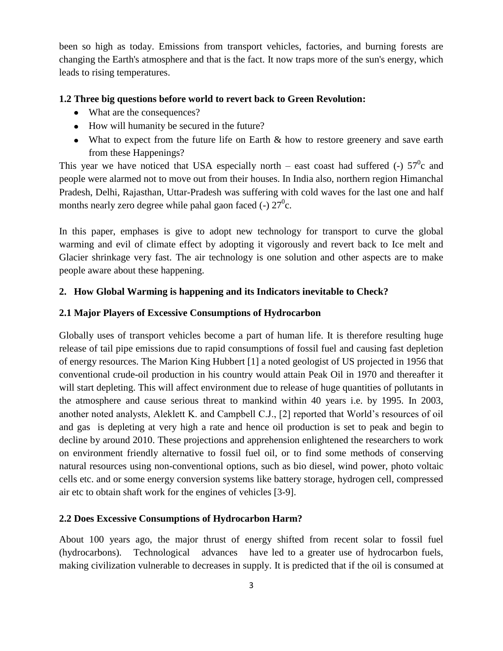been so high as today. Emissions from transport vehicles, factories, and burning forests are changing the Earth's atmosphere and that is the fact. It now traps more of the sun's energy, which leads to rising temperatures.

#### **1.2 Three big questions before world to revert back to Green Revolution:**

- What are the consequences?
- How will humanity be secured in the future?
- What to expect from the future life on Earth & how to restore greenery and save earth from these Happenings?

This year we have noticed that USA especially north – east coast had suffered (-)  $57^\circ$ c and people were alarmed not to move out from their houses. In India also, northern region Himanchal Pradesh, Delhi, Rajasthan, Uttar-Pradesh was suffering with cold waves for the last one and half months nearly zero degree while pahal gaon faced (-)  $27^0$ c.

In this paper, emphases is give to adopt new technology for transport to curve the global warming and evil of climate effect by adopting it vigorously and revert back to Ice melt and Glacier shrinkage very fast. The air technology is one solution and other aspects are to make people aware about these happening.

#### **2. How Global Warming is happening and its Indicators inevitable to Check?**

#### **2.1 Major Players of Excessive Consumptions of Hydrocarbon**

Globally uses of transport vehicles become a part of human life. It is therefore resulting huge release of tail pipe emissions due to rapid consumptions of fossil fuel and causing fast depletion of energy resources. The Marion King Hubbert [1] a noted geologist of US projected in 1956 that conventional crude-oil production in his country would attain Peak Oil in 1970 and thereafter it will start depleting. This will affect environment due to release of huge quantities of pollutants in the atmosphere and cause serious threat to mankind within 40 years i.e. by 1995. In 2003, another noted analysts, Aleklett K. and Campbell C.J., [2] reported that World's resources of oil and gas is depleting at very high a rate and hence oil production is set to peak and begin to decline by around 2010. These projections and apprehension enlightened the researchers to work on environment friendly alternative to fossil fuel oil, or to find some methods of conserving natural resources using non-conventional options, such as bio diesel, wind power, photo voltaic cells etc. and or some energy conversion systems like battery storage, hydrogen cell, compressed air etc to obtain shaft work for the engines of vehicles [3-9].

#### **2.2 Does Excessive Consumptions of Hydrocarbon Harm?**

About 100 years ago, the major thrust of energy shifted from recent solar to fossil fuel (hydrocarbons). Technological advances have led to a greater use of hydrocarbon fuels, making civilization vulnerable to decreases in supply. It is predicted that if the oil is consumed at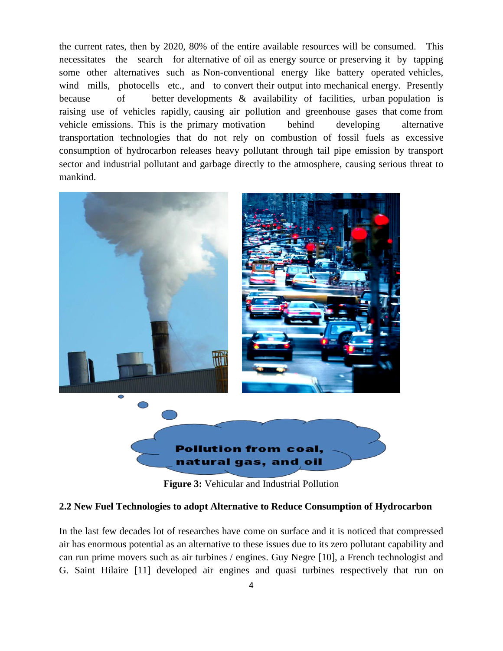the current rates, then by 2020, 80% of the entire available resources will be consumed. This necessitates the search for alternative of oil as energy source or preserving it by tapping some other alternatives such as Non-conventional energy like battery operated vehicles, wind mills, photocells etc., and to convert their output into mechanical energy. Presently because of better developments & availability of facilities, urban population is raising use of vehicles rapidly, causing air pollution and greenhouse gases that come from vehicle emissions. This is the primary motivation behind developing alternative transportation technologies that do not rely on combustion of fossil fuels as excessive consumption of hydrocarbon releases heavy pollutant through tail pipe emission by transport sector and industrial pollutant and garbage directly to the atmosphere, causing serious threat to mankind.



**Figure 3:** Vehicular and Industrial Pollution

#### **2.2 New Fuel Technologies to adopt Alternative to Reduce Consumption of Hydrocarbon**

In the last few decades lot of researches have come on surface and it is noticed that compressed air has enormous potential as an alternative to these issues due to its zero pollutant capability and can run prime movers such as air turbines / engines. Guy Negre [10], a French technologist and G. Saint Hilaire [11] developed air engines and quasi turbines respectively that run on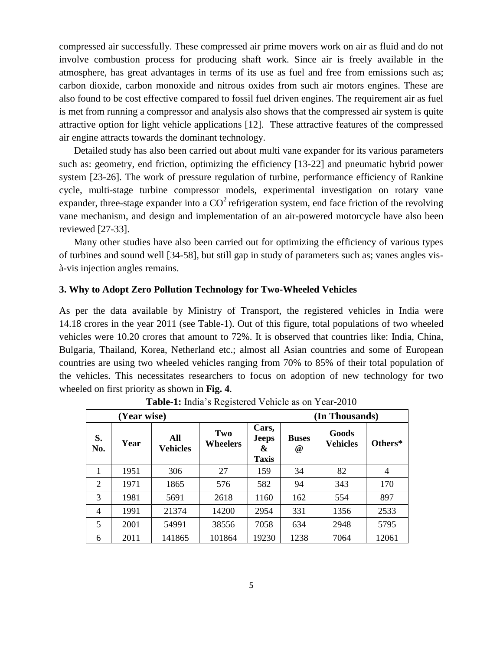compressed air successfully. These compressed air prime movers work on air as fluid and do not involve combustion process for producing shaft work. Since air is freely available in the atmosphere, has great advantages in terms of its use as fuel and free from emissions such as; carbon dioxide, carbon monoxide and nitrous oxides from such air motors engines. These are also found to be cost effective compared to fossil fuel driven engines. The requirement air as fuel is met from running a compressor and analysis also shows that the compressed air system is quite attractive option for light vehicle applications [12]. These attractive features of the compressed air engine attracts towards the dominant technology.

Detailed study has also been carried out about multi vane expander for its various parameters such as: geometry, end friction, optimizing the efficiency [13-22] and pneumatic hybrid power system [23-26]. The work of pressure regulation of turbine, performance efficiency of Rankine cycle, multi-stage turbine compressor models, experimental investigation on rotary vane expander, three-stage expander into a  $CO<sup>2</sup>$  refrigeration system, end face friction of the revolving vane mechanism, and design and implementation of an air-powered motorcycle have also been reviewed [27-33].

Many other studies have also been carried out for optimizing the efficiency of various types of turbines and sound well [34-58], but still gap in study of parameters such as; vanes angles visà-vis injection angles remains.

## **3. Why to Adopt Zero Pollution Technology for Two-Wheeled Vehicles**

As per the data available by Ministry of Transport, the registered vehicles in India were 14.18 crores in the year 2011 (see Table-1). Out of this figure, total populations of two wheeled vehicles were 10.20 crores that amount to 72%. It is observed that countries like: India, China, Bulgaria, Thailand, Korea, Netherland etc.; almost all Asian countries and some of European countries are using two wheeled vehicles ranging from 70% to 85% of their total population of the vehicles. This necessitates researchers to focus on adoption of new technology for two wheeled on first priority as shown in **Fig. 4**.

|                |             |                        | ັ               |                                            |                          |                          |                |
|----------------|-------------|------------------------|-----------------|--------------------------------------------|--------------------------|--------------------------|----------------|
|                | (Year wise) |                        |                 | (In Thousands)                             |                          |                          |                |
| S.<br>No.      | Year        | All<br><b>Vehicles</b> | Two<br>Wheelers | Cars,<br><b>Jeeps</b><br>&<br><b>Taxis</b> | <b>Buses</b><br>$^{\,a}$ | Goods<br><b>Vehicles</b> | Others*        |
| 1              | 1951        | 306                    | 27              | 159                                        | 34                       | 82                       | $\overline{4}$ |
| $\overline{2}$ | 1971        | 1865                   | 576             | 582                                        | 94                       | 343                      | 170            |
| 3              | 1981        | 5691                   | 2618            | 1160                                       | 162                      | 554                      | 897            |
| $\overline{4}$ | 1991        | 21374                  | 14200           | 2954                                       | 331                      | 1356                     | 2533           |
| 5              | 2001        | 54991                  | 38556           | 7058                                       | 634                      | 2948                     | 5795           |
| 6              | 2011        | 141865                 | 101864          | 19230                                      | 1238                     | 7064                     | 12061          |

**Table-1:** India's Registered Vehicle as on Year-2010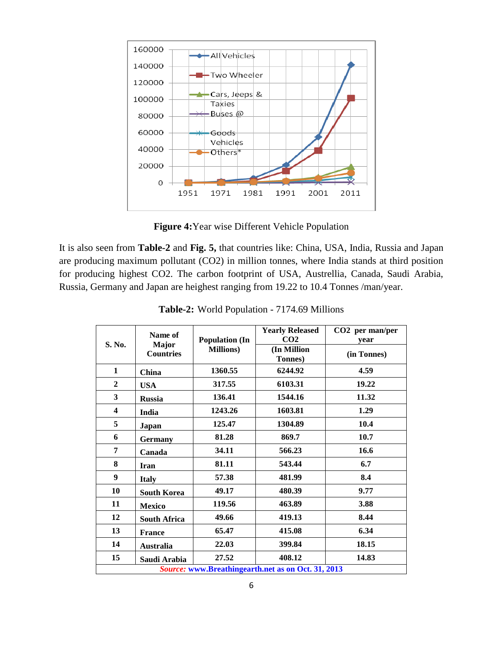

**Figure 4:**Year wise Different Vehicle Population

It is also seen from **Table-2** and **Fig. 5,** that countries like: China, USA, India, Russia and Japan are producing maximum pollutant (CO2) in million tonnes, where India stands at third position for producing highest CO2. The carbon footprint of USA, Austrellia, Canada, Saudi Arabia, Russia, Germany and Japan are heighest ranging from 19.22 to 10.4 Tonnes /man/year.

|                                                    | Name of             |                       | <b>Yearly Released</b> | CO2 per man/per |  |  |  |
|----------------------------------------------------|---------------------|-----------------------|------------------------|-----------------|--|--|--|
| S. No.                                             | <b>Major</b>        | <b>Population (In</b> | CO <sub>2</sub>        | year            |  |  |  |
|                                                    | <b>Countries</b>    | <b>Millions</b> )     | (In Million            | (in Tonnes)     |  |  |  |
|                                                    |                     |                       | <b>Tonnes</b> )        |                 |  |  |  |
| $\mathbf{1}$                                       | <b>China</b>        | 1360.55               | 6244.92                | 4.59            |  |  |  |
| $\overline{2}$                                     | <b>USA</b>          | 317.55                | 6103.31                | 19.22           |  |  |  |
| 3                                                  | <b>Russia</b>       | 136.41                | 1544.16                | 11.32           |  |  |  |
| $\overline{\mathbf{4}}$                            | India               | 1243.26               | 1603.81                | 1.29            |  |  |  |
| 5                                                  | Japan               | 125.47                | 1304.89                | 10.4            |  |  |  |
| 6                                                  | <b>Germany</b>      | 81.28                 | 869.7                  | 10.7            |  |  |  |
| 7                                                  | Canada              | 34.11                 | 566.23                 | 16.6            |  |  |  |
| 8                                                  | <b>Iran</b>         | 81.11                 | 543.44                 | 6.7             |  |  |  |
| 9                                                  | <b>Italy</b>        | 57.38                 | 481.99                 | 8.4             |  |  |  |
| 10                                                 | <b>South Korea</b>  | 49.17                 | 480.39                 | 9.77            |  |  |  |
| 11                                                 | <b>Mexico</b>       | 119.56                | 463.89                 | 3.88            |  |  |  |
| 12                                                 | <b>South Africa</b> | 49.66                 | 419.13                 | 8.44            |  |  |  |
| 13                                                 | <b>France</b>       | 65.47                 | 415.08                 | 6.34            |  |  |  |
| 14                                                 | <b>Australia</b>    | 22.03                 | 399.84                 | 18.15           |  |  |  |
| 15                                                 | Saudi Arabia        | 27.52                 | 408.12                 | 14.83           |  |  |  |
| Source: www.Breathingearth.net as on Oct. 31, 2013 |                     |                       |                        |                 |  |  |  |

**Table-2:** World Population - 7174.69 Millions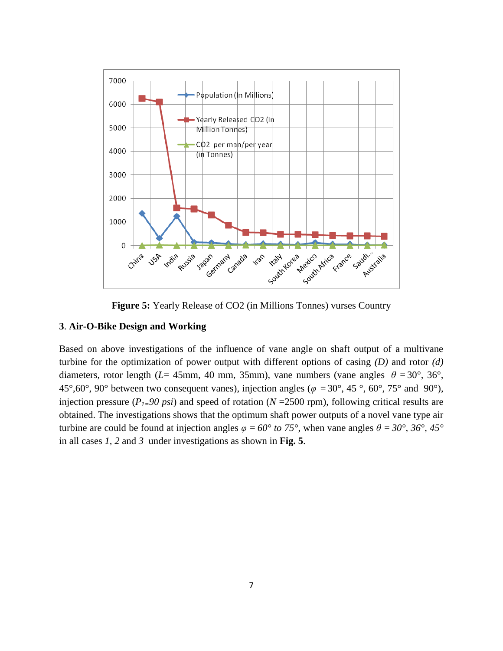

**Figure 5:** Yearly Release of CO2 (in Millions Tonnes) vurses Country

# **3**. **Air-O-Bike Design and Working**

Based on above investigations of the influence of vane angle on shaft output of a multivane turbine for the optimization of power output with different options of casing *(D)* and rotor *(d)* diameters, rotor length ( $L=$  45mm, 40 mm, 35mm), vane numbers (vane angles  $\theta = 30^{\circ}$ , 36°, 45°,60°, 90° between two consequent vanes), injection angles ( $\varphi = 30^\circ$ , 45°, 60°, 75° and 90°), injection pressure ( $P_1=90$  psi) and speed of rotation ( $N=2500$  rpm), following critical results are obtained. The investigations shows that the optimum shaft power outputs of a novel vane type air turbine are could be found at injection angles  $\varphi = 60^\circ$  to 75°, when vane angles  $\theta = 30^\circ$ , 36°, 45° in all cases *1, 2* and *3* under investigations as shown in **Fig. 5**.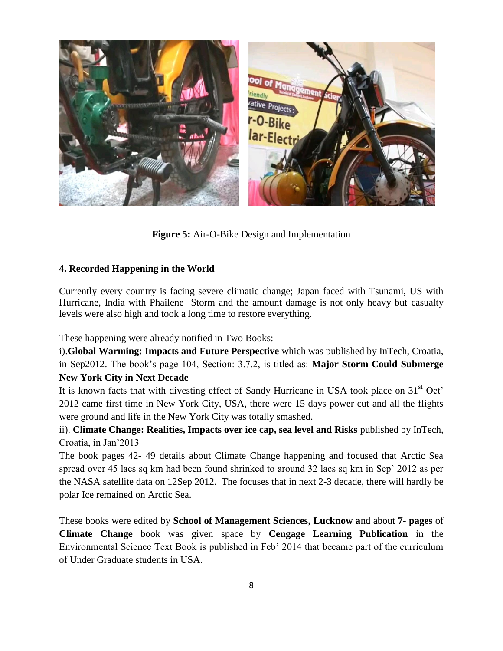

**Figure 5:** Air-O-Bike Design and Implementation

# **4. Recorded Happening in the World**

Currently every country is facing severe climatic change; Japan faced with Tsunami, US with Hurricane, India with Phailene Storm and the amount damage is not only heavy but casualty levels were also high and took a long time to restore everything.

These happening were already notified in Two Books:

i).**Global Warming: Impacts and Future Perspective** which was published by InTech, Croatia, in Sep2012. The book's page 104, Section: 3.7.2, is titled as: **Major Storm Could Submerge New York City in Next Decade**

It is known facts that with divesting effect of Sandy Hurricane in USA took place on 31<sup>st</sup> Oct' 2012 came first time in New York City, USA, there were 15 days power cut and all the flights were ground and life in the New York City was totally smashed.

ii). **Climate Change: Realities, Impacts over ice cap, sea level and Risks** published by InTech, Croatia, in Jan'2013

The book pages 42- 49 details about Climate Change happening and focused that Arctic Sea spread over 45 lacs sq km had been found shrinked to around 32 lacs sq km in Sep' 2012 as per the NASA satellite data on 12Sep 2012. The focuses that in next 2-3 decade, there will hardly be polar Ice remained on Arctic Sea.

These books were edited by **School of Management Sciences, Lucknow a**nd about **7- pages** of **Climate Change** book was given space by **Cengage Learning Publication** in the Environmental Science Text Book is published in Feb' 2014 that became part of the curriculum of Under Graduate students in USA.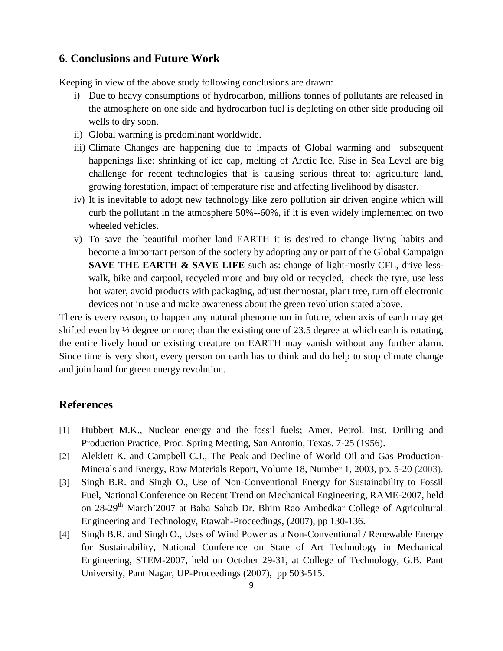# **6**. **Conclusions and Future Work**

Keeping in view of the above study following conclusions are drawn:

- i) Due to heavy consumptions of hydrocarbon, millions tonnes of pollutants are released in the atmosphere on one side and hydrocarbon fuel is depleting on other side producing oil wells to dry soon.
- ii) Global warming is predominant worldwide.
- iii) Climate Changes are happening due to impacts of Global warming and subsequent happenings like: shrinking of ice cap, melting of Arctic Ice, Rise in Sea Level are big challenge for recent technologies that is causing serious threat to: agriculture land, growing forestation, impact of temperature rise and affecting livelihood by disaster.
- iv) It is inevitable to adopt new technology like zero pollution air driven engine which will curb the pollutant in the atmosphere 50%--60%, if it is even widely implemented on two wheeled vehicles.
- v) To save the beautiful mother land EARTH it is desired to change living habits and become a important person of the society by adopting any or part of the Global Campaign **SAVE THE EARTH & SAVE LIFE** such as: change of light-mostly CFL, drive lesswalk, bike and carpool, recycled more and buy old or recycled, check the tyre, use less hot water, avoid products with packaging, adjust thermostat, plant tree, turn off electronic devices not in use and make awareness about the green revolution stated above.

There is every reason, to happen any natural phenomenon in future, when axis of earth may get shifted even by ½ degree or more; than the existing one of 23.5 degree at which earth is rotating, the entire lively hood or existing creature on EARTH may vanish without any further alarm. Since time is very short, every person on earth has to think and do help to stop climate change and join hand for green energy revolution.

# **References**

- [1] Hubbert M.K., Nuclear energy and the fossil fuels; Amer. Petrol. Inst. Drilling and Production Practice, [Proc. Spring Meeting, San Antonio, Texas. 7-25](http://www.hubbertpeak.com/hubbert/) (1956).
- [2] Aleklett K. and Campbell C.J., The Peak and Decline of World Oil and Gas Production-[Minerals and Energy, Raw Materials Report, Volume 18, Number 1, 2003, pp. 5-20](http://dx.doi.org/10.1080/14041040310008374) (2003).
- [3] Singh B.R. and Singh O., Use of Non-Conventional Energy for Sustainability to Fossil Fuel, National Conference on Recent Trend on Mechanical Engineering, RAME-2007, held on 28-29<sup>th</sup> March'2007 at Baba Sahab Dr. Bhim Rao Ambedkar College of Agricultural Engineering and Technology, Etawah-Proceedings, (2007), pp 130-136.
- [4] Singh B.R. and Singh O., Uses of Wind Power as a Non-Conventional / Renewable Energy for Sustainability, National Conference on State of Art Technology in Mechanical Engineering, STEM-2007, held on October 29-31, at College of Technology, G.B. Pant University, Pant Nagar, UP-Proceedings (2007), pp 503-515.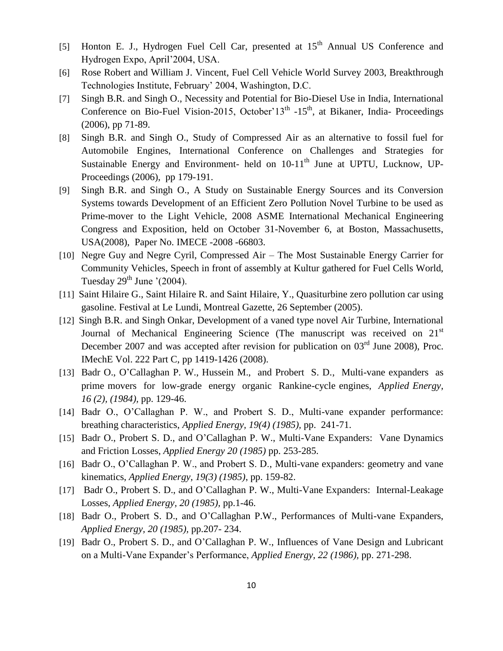- [5] Honton E. J., Hydrogen Fuel Cell Car, presented at 15<sup>th</sup> Annual US Conference and Hydrogen Expo, April'2004, USA.
- [6] Rose Robert and William J. Vincent, Fuel Cell Vehicle World Survey 2003, Breakthrough Technologies Institute, February' 2004, Washington, D.C.
- [7] Singh B.R. and Singh O., Necessity and Potential for Bio-Diesel Use in India, International Conference on Bio-Fuel Vision-2015, October'13<sup>th</sup>  $-15<sup>th</sup>$ , at Bikaner, India- Proceedings (2006), pp 71-89.
- [8] Singh B.R. and Singh O., Study of Compressed Air as an alternative to fossil fuel for Automobile Engines, International Conference on Challenges and Strategies for Sustainable Energy and Environment- held on  $10-11<sup>th</sup>$  June at UPTU, Lucknow, UP-Proceedings (2006), pp 179-191.
- [9] Singh B.R. and Singh O., A Study on Sustainable Energy Sources and its Conversion Systems towards Development of an Efficient Zero Pollution Novel Turbine to be used as Prime-mover to the Light Vehicle, 2008 ASME International Mechanical Engineering Congress and Exposition, held on October 31-November 6, at Boston, Massachusetts, USA(2008), Paper No. IMECE -2008 -66803.
- [10] Negre Guy and Negre Cyril, Compressed Air The Most Sustainable Energy Carrier for Community Vehicles, Speech in front of assembly at Kultur gathered for Fuel Cells World, Tuesday  $29<sup>th</sup>$  June '(2004).
- [11] Saint Hilaire G., Saint Hilaire R. and Saint Hilaire, Y., Quasiturbine zero pollution car using gasoline. [Festival at Le Lundi, Montreal Gazette, 26 September \(2005\).](http://dx.doi.org/10.1115/GT2007-27088)
- [12] Singh B.R. and Singh Onkar, Development of a vaned type novel Air Turbine, International Journal of Mechanical Engineering Science (The manuscript was received on  $21<sup>st</sup>$ December 2007 and was accepted after revision for publication on  $03<sup>rd</sup>$  June 2008), Proc. IMechE [Vol. 222 Part C, pp 1419-1426](http://dx.doi.org/10.1243/09544062JMES993) (2008).
- [13] Badr O., O'Callaghan P. W., Hussein M., and Probert S. D., Multi-vane expanders as prime movers for low-grade energy organic Rankine-cycle engines, *Applied Energy, 16 (2), (1984),* pp. 129-46.
- [14] Badr O., O'Callaghan P. W., and Probert S. D., Multi-vane expander performance: breathing characteristics, *Applied Energy, 19(4) (1985),* pp. 241-71.
- [15] Badr O., Probert S. D., and O'Callaghan P. W., Multi-Vane Expanders: Vane Dynamics and Friction Losses, *Applied Energy 20 (1985)* pp. 253-285.
- [16] Badr O., O'Callaghan P. W., and Probert S. D., Multi-vane expanders: geometry and vane kinematics, *Applied Energy, 19(3) (1985)*, pp. 159-82.
- [17] Badr O., Probert S. D., and O'Callaghan P. W., Multi-Vane Expanders: Internal-Leakage Losses, *Applied Energy, 20 (1985),* pp.1-46.
- [18] Badr O., Probert S. D., and O'Callaghan P.W., Performances of Multi-vane Expanders, *Applied Energy, 20 (1985),* pp.207- 234.
- [19] Badr O., Probert S. D., and O'Callaghan P. W., Influences of Vane Design and Lubricant on a Multi-Vane Expander's Performance, *Applied Energy, 22 (1986),* pp. 271-298.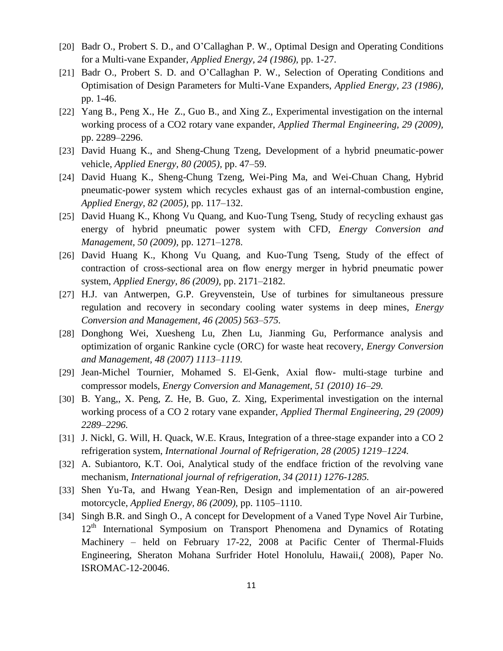- [20] Badr O., Probert S. D., and O'Callaghan P. W., Optimal Design and Operating Conditions for a Multi-vane Expander, *Applied Energy, 24 (1986),* pp. 1-27.
- [21] Badr O., Probert S. D. and O'Callaghan P. W., Selection of Operating Conditions and Optimisation of Design Parameters for Multi-Vane Expanders, *Applied Energy, 23 (1986),* pp. 1-46.
- [22] Yang B., Peng X., He Z., Guo B., and Xing Z., Experimental investigation on the internal working process of a CO2 rotary vane expander, *Applied Thermal Engineering, 29 (2009),* pp. 2289–2296.
- [23] David Huang K., and Sheng-Chung Tzeng, Development of a hybrid pneumatic-power vehicle, *Applied Energy, 80 (2005),* pp. 47–59.
- [24] David Huang K., Sheng-Chung Tzeng, Wei-Ping Ma, and Wei-Chuan Chang, Hybrid pneumatic-power system which recycles exhaust gas of an internal-combustion engine, *Applied Energy, 82 (2005),* pp. 117–132.
- [25] David Huang K., Khong Vu Quang, and Kuo-Tung Tseng, Study of recycling exhaust gas energy of hybrid pneumatic power system with CFD, *Energy Conversion and Management, 50 (2009),* pp. 1271–1278.
- [26] David Huang K., Khong Vu Quang, and Kuo-Tung Tseng, Study of the effect of contraction of cross-sectional area on flow energy merger in hybrid pneumatic power system, *Applied Energy, 86 (2009),* pp. 2171–2182.
- [27] H.J. van Antwerpen, G.P. Greyvenstein, Use of turbines for simultaneous pressure regulation and recovery in secondary cooling water systems in deep mines, *Energy Conversion and Management, 46 (2005) 563–575.*
- [28] Donghong Wei, Xuesheng Lu, Zhen Lu, Jianming Gu, Performance analysis and optimization of organic Rankine cycle (ORC) for waste heat recovery, *Energy Conversion and Management, 48 (2007) 1113–1119.*
- [29] Jean-Michel Tournier, Mohamed S. El-Genk, Axial flow- multi-stage turbine and compressor models, *Energy Conversion and Management, 51 (2010) 16–29.*
- [30] B. Yang,, X. Peng, Z. He, B. Guo, Z. Xing, Experimental investigation on the internal working process of a CO 2 rotary vane expander, *Applied Thermal Engineering, 29 (2009) 2289–2296.*
- [31] J. Nickl, G. Will, H. Quack, W.E. Kraus, Integration of a three-stage expander into a CO 2 refrigeration system, *International Journal of Refrigeration, 28 (2005) 1219–1224.*
- [32] A. Subiantoro, K.T. Ooi, Analytical study of the endface friction of the revolving vane mechanism, *International journal of refrigeration, 34 (2011) 1276-1285.*
- [33] Shen Yu-Ta, and Hwang Yean-Ren, Design and implementation of an air-powered motorcycle, *Applied Energy, 86 (2009),* pp. 1105–1110.
- [34] Singh B.R. and Singh O., A concept for Development of a Vaned Type Novel Air Turbine,  $12<sup>th</sup>$  International Symposium on Transport Phenomena and Dynamics of Rotating Machinery – held on February 17-22, 2008 at Pacific Center of Thermal-Fluids Engineering, Sheraton Mohana Surfrider Hotel Honolulu, Hawaii,( 2008), Paper No. ISROMAC-12-20046.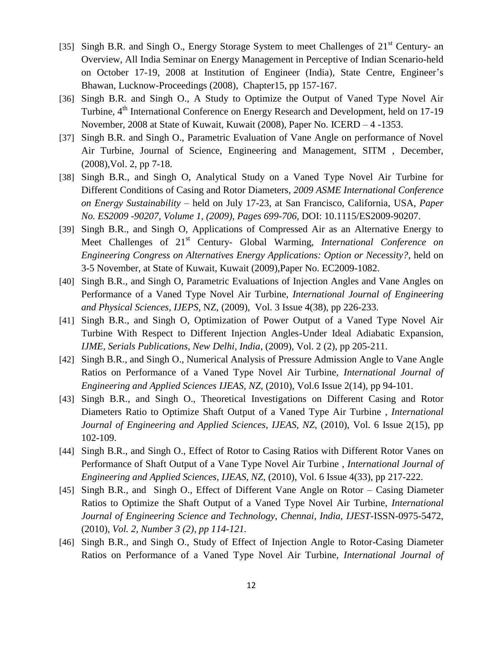- [35] Singh B.R. and Singh O., Energy Storage System to meet Challenges of 21<sup>st</sup> Century- an Overview, All India Seminar on Energy Management in Perceptive of Indian Scenario-held on October 17-19, 2008 at Institution of Engineer (India), State Centre, Engineer's Bhawan, Lucknow-Proceedings (2008), Chapter15, pp 157-167.
- [36] Singh B.R. and Singh O., A Study to Optimize the Output of Vaned Type Novel Air Turbine, 4<sup>th</sup> International Conference on Energy Research and Development, held on 17-19 November, 2008 at State of Kuwait, Kuwait (2008), Paper No. ICERD – 4 -1353.
- [37] Singh B.R. and Singh O., Parametric Evaluation of Vane Angle on performance of Novel Air Turbine, Journal of Science, Engineering and Management, SITM , December, (2008),Vol. 2, pp 7-18.
- [38] Singh B.R., and Singh O, Analytical Study on a Vaned Type Novel Air Turbine for Different Conditions of Casing and Rotor Diameters, *2009 ASME International Conference on Energy Sustainability* – held on July 17-23, at San Francisco, California, USA, *[Paper](http://dx.doi.org/10.1115/ES2009-90207)  [No. ES2009 -90207, Volume 1, \(2009\), Pages 699-706,](http://dx.doi.org/10.1115/ES2009-90207)* DOI: 10.1115/ES2009-90207.
- [39] Singh B.R., and Singh O, Applications of Compressed Air as an Alternative Energy to Meet Challenges of 21<sup>st</sup> Century- Global Warming, *International Conference on Engineering Congress on Alternatives Energy Applications: Option or Necessity?,* held on 3-5 November, at State of Kuwait, Kuwait (2009),Paper No. EC2009-1082.
- [40] Singh B.R., and Singh O, Parametric Evaluations of Injection Angles and Vane Angles on Performance of a Vaned Type Novel Air Turbine, *International Journal of Engineering and Physical Sciences, IJEPS,* NZ, [\(2009\), Vol. 3 Issue](http://www.waset.org/journals/ijeps/v3/v3-4-38.pdf) 4(38), pp 226-233.
- [41] Singh B.R., and Singh O, Optimization of Power Output of a Vaned Type Novel Air Turbine With Respect to Different Injection Angles-Under Ideal Adiabatic Expansion, *IJME, Serials Publications, New Delhi, India*, (2009), Vol. 2 (2), pp 205-211.
- [42] Singh B.R., and Singh O., Numerical Analysis of Pressure Admission Angle to Vane Angle Ratios on Performance of a Vaned Type Novel Air Turbine, *International Journal of Engineering and Applied Sciences IJEAS, NZ*[, \(2010\), Vol.6 Issue](http://www.waset.org/journals/ijeas/v6/v6-2-14.pdf) 2(14), pp 94-101.
- [43] Singh B.R., and Singh O., Theoretical Investigations on Different Casing and Rotor Diameters Ratio to Optimize Shaft Output of a Vaned Type Air Turbine , *International Journal of Engineering and Applied Sciences, IJEAS, NZ*[, \(2010\), Vol. 6 Issue](http://www.waset.org/journals/ijeas/v6/v6-2-15.pdf) 2(15), pp [102-109.](http://www.waset.org/journals/ijeas/v6/v6-2-15.pdf)
- [44] Singh B.R., and Singh O., Effect of Rotor to Casing Ratios with Different Rotor Vanes on Performance of Shaft Output of a Vane Type Novel Air Turbine , *International Journal of Engineering and Applied Sciences, IJEAS, NZ*[, \(2010\), Vol. 6 Issue](http://www.waset.org/journals/ijeas/v6/v6-4-33.pdf) 4(33), pp 217-222.
- [45] Singh B.R., and Singh O., Effect of Different Vane Angle on Rotor Casing Diameter Ratios to Optimize the Shaft Output of a Vaned Type Novel Air Turbine, *International Journal of Engineering Science and Technology, Chennai, India, IJEST-*ISSN-0975-5472, (2010), *[Vol. 2, Number 3 \(2\), pp 114-121.](http://www.ijest.info/abstract.php?file=10-02-03-02)*
- [46] Singh B.R., and Singh O., Study of Effect of Injection Angle to Rotor-Casing Diameter Ratios on Performance of a Vaned Type Novel Air Turbine, *International Journal of*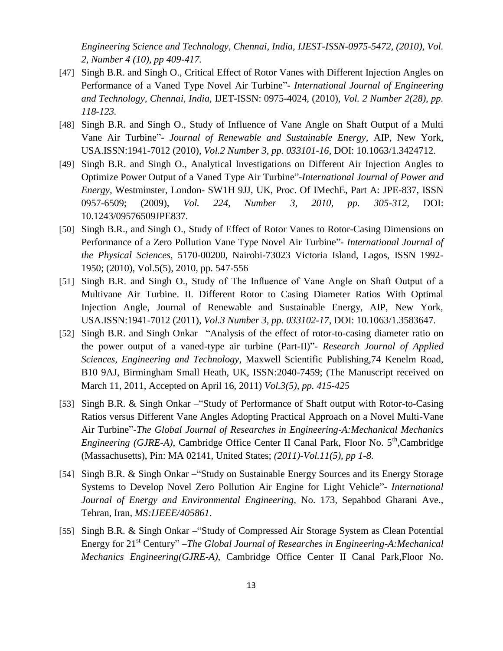*Engineering Science and Technology, Chennai, India, IJEST-ISSN-0975-5472, (2010), [Vol.](http://www.ijest.info/abstract.php?file=10-02-04-10)  [2, Number 4 \(10\), pp 409-417.](http://www.ijest.info/abstract.php?file=10-02-04-10)*

- [47] Singh B.R. and Singh O., Critical Effect of Rotor Vanes with Different Injection Angles on Performance of a Vaned Type Novel Air Turbine"- *International Journal of Engineering and Technology, Chennai, India,* IJET-ISSN: 0975-4024, (2010), *[Vol. 2 Number 2\(28\), pp.](http://www.enggjournals.com/ijet/abstract.html?file=10-02-02-28)  [118-123.](http://www.enggjournals.com/ijet/abstract.html?file=10-02-02-28)*
- [48] Singh B.R. and Singh O., Study of Influence of Vane Angle on Shaft Output of a Multi Vane Air Turbine"- *Journal of Renewable and Sustainable Energy,* AIP, New York, USA.ISSN:1941-7012 (2010), *[Vol.2 Number 3, pp. 033101-16,](http://dx.doi.org/10.1063/1.3424712)* DOI: 10.1063/1.3424712.
- [49] Singh B.R. and Singh O., Analytical Investigations on Different Air Injection Angles to Optimize Power Output of a Vaned Type Air Turbine"-*International Journal of Power and Energy,* Westminster, London- SW1H 9JJ, UK, Proc. Of IMechE, Part A: JPE-837, ISSN 0957-6509; (2009), *[Vol. 224, Number 3, 2010, pp. 305-312,](http://dx.doi.org/10.1243/09576509JPE837)* DOI: 10.1243/09576509JPE837.
- [50] Singh B.R., and Singh O., Study of Effect of Rotor Vanes to Rotor-Casing Dimensions on Performance of a Zero Pollution Vane Type Novel Air Turbine"- *International Journal of the Physical Sciences,* 5170-00200, Nairobi-73023 Victoria Island, Lagos, ISSN 1992- 1950; (2010), [Vol.5\(5\), 2010, pp. 547-556](http://www.academicjournals.org/IJPS/abstracts/abstracts/abstract2010/May/Singh%20and%20Singh.htm)
- [51] Singh B.R. and Singh O., Study of The Influence of Vane Angle on Shaft Output of a Multivane Air Turbine. II. Different Rotor to Casing Diameter Ratios With Optimal Injection Angle, Journal of Renewable and Sustainable Energy, AIP, New York, USA.ISSN:1941-7012 (2011), *Vol.3 Number 3, pp. 033102-17*, DOI: 10.1063/1.3583647.
- [52] Singh B.R. and Singh Onkar –"Analysis of the effect of rotor-to-casing diameter ratio on the power output of a vaned-type air turbine (Part-II)"- *Research Journal of Applied Sciences, Engineering and Technology*, Maxwell Scientific Publishing,74 Kenelm Road, B10 9AJ, Birmingham Small Heath, UK, ISSN:2040-7459; (The Manuscript received on March 11, 2011, Accepted on April 16, 2011) *[Vol.3\(5\), pp. 415-425](http://maxwellsci.com/jp/abstract.php?jid=RJASET&no=114&abs=08)*
- [53] Singh B.R. & Singh Onkar –"Study of Performance of Shaft output with Rotor-to-Casing Ratios versus Different Vane Angles Adopting Practical Approach on a Novel Multi-Vane Air Turbine"-*The Global Journal of Researches in Engineering-A:Mechanical Mechanics Engineering (GJRE-A)*, Cambridge Office Center II Canal Park, Floor No. 5<sup>th</sup>,Cambridge (Massachusetts), Pin: MA 02141, United States; *(2011)-Vol.11(5), pp 1-8.*
- [54] Singh B.R. & Singh Onkar –"Study on Sustainable Energy Sources and its Energy Storage Systems to Develop Novel Zero Pollution Air Engine for Light Vehicle"- *International Journal of Energy and Environmental Engineering,* No. 173, Sepahbod Gharani Ave., Tehran, Iran, *MS:IJEEE/405861*.
- [55] Singh B.R. & Singh Onkar –"Study of Compressed Air Storage System as Clean Potential Energy for 21st Century" –*The Global Journal of Researches in Engineering-A:Mechanical Mechanics Engineering(GJRE-A)*, Cambridge Office Center II Canal Park,Floor No.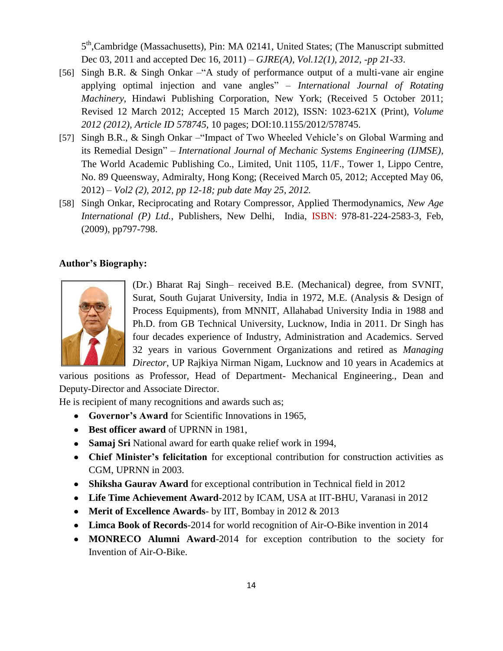5<sup>th</sup>,Cambridge (Massachusetts), Pin: MA 02141, United States; (The Manuscript submitted Dec 03, 2011 and accepted Dec 16, 2011) – *[GJRE\(A\), Vol.12\(1\), 2012, -pp 21-33](http://globaljournals.org/papers/library/01536.pdf)*.

- [56] Singh B.R. & Singh Onkar –"A study of performance output of a multi-vane air engine applying optimal injection and vane angles" – *International Journal of Rotating Machinery*, Hindawi Publishing Corporation, New York; (Received 5 October 2011; Revised 12 March 2012; Accepted 15 March 2012), ISSN: 1023-621X (Print), *[Volume](http://www.hindawi.com/journals/ijrm/2012/578745/)  [2012 \(2012\), Article ID 578745,](http://www.hindawi.com/journals/ijrm/2012/578745/)* 10 pages; DOI:10.1155/2012/578745.
- [57] Singh B.R., & Singh Onkar –"Impact of Two Wheeled Vehicle's on Global Warming and its Remedial Design" – *International Journal of Mechanic Systems Engineering (IJMSE)*, The World Academic Publishing Co., Limited, Unit 1105, 11/F., Tower 1, Lippo Centre, No. 89 Queensway, Admiralty, Hong Kong; (Received March 05, 2012; Accepted May 06, 2012) – *[Vol2 \(2\), 2012, pp 12-18; pub date May 25, 2012.](http://www.jomse.org/paperInfo.aspx?ID=49)*
- [58] Singh Onkar, Reciprocating and Rotary Compressor, Applied Thermodynamics, *New Age International (P) Ltd.*, Publishers, New Delhi, India, ISBN: 978-81-224-2583-3, Feb, (2009), pp797-798.

## **Author's Biography:**



(Dr.) Bharat Raj Singh– received B.E. (Mechanical) degree, from SVNIT, Surat, South Gujarat University, India in 1972, M.E. (Analysis & Design of Process Equipments), from MNNIT, Allahabad University India in 1988 and Ph.D. from GB Technical University, Lucknow, India in 2011. Dr Singh has four decades experience of Industry, Administration and Academics. Served 32 years in various Government Organizations and retired as *Managing Director*, UP Rajkiya Nirman Nigam, Lucknow and 10 years in Academics at

various positions as Professor, Head of Department- Mechanical Engineering., Dean and Deputy-Director and Associate Director.

He is recipient of many recognitions and awards such as;

- **Governor's Award** for Scientific Innovations in 1965,
- **Best officer award** of UPRNN in 1981,
- **Samaj Sri** National award for earth quake relief work in 1994,
- **Chief Minister's felicitation** for exceptional contribution for construction activities as CGM, UPRNN in 2003.
- **Shiksha Gaurav Award** for exceptional contribution in Technical field in 2012
- **Life Time Achievement Award**-2012 by ICAM, USA at IIT-BHU, Varanasi in 2012
- **Merit of Excellence Awards** by IIT, Bombay in 2012 & 2013
- **Limca Book of Records**-2014 for world recognition of Air-O-Bike invention in 2014
- **MONRECO Alumni Award**-2014 for exception contribution to the society for Invention of Air-O-Bike.